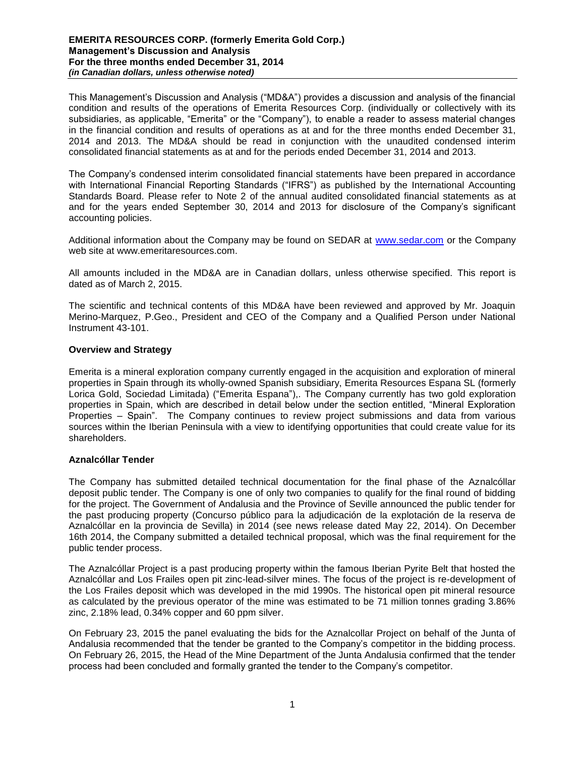### **EMERITA RESOURCES CORP. (formerly Emerita Gold Corp.) Management's Discussion and Analysis For the three months ended December 31, 2014** *(in Canadian dollars, unless otherwise noted)*

This Management's Discussion and Analysis ("MD&A") provides a discussion and analysis of the financial condition and results of the operations of Emerita Resources Corp. (individually or collectively with its subsidiaries, as applicable, "Emerita" or the "Company"), to enable a reader to assess material changes in the financial condition and results of operations as at and for the three months ended December 31, 2014 and 2013. The MD&A should be read in conjunction with the unaudited condensed interim consolidated financial statements as at and for the periods ended December 31, 2014 and 2013.

The Company's condensed interim consolidated financial statements have been prepared in accordance with International Financial Reporting Standards ("IFRS") as published by the International Accounting Standards Board. Please refer to Note 2 of the annual audited consolidated financial statements as at and for the years ended September 30, 2014 and 2013 for disclosure of the Company's significant accounting policies.

Additional information about the Company may be found on SEDAR at [www.sedar.com](http://www.sedar.com/) or the Company web site at www.emeritaresources.com.

All amounts included in the MD&A are in Canadian dollars, unless otherwise specified. This report is dated as of March 2, 2015.

The scientific and technical contents of this MD&A have been reviewed and approved by Mr. Joaquin Merino-Marquez, P.Geo., President and CEO of the Company and a Qualified Person under National Instrument 43-101.

# **Overview and Strategy**

Emerita is a mineral exploration company currently engaged in the acquisition and exploration of mineral properties in Spain through its wholly-owned Spanish subsidiary, Emerita Resources Espana SL (formerly Lorica Gold, Sociedad Limitada) ("Emerita Espana"),. The Company currently has two gold exploration properties in Spain, which are described in detail below under the section entitled, "Mineral Exploration Properties – Spain". The Company continues to review project submissions and data from various sources within the Iberian Peninsula with a view to identifying opportunities that could create value for its shareholders.

# **Aznalcóllar Tender**

The Company has submitted detailed technical documentation for the final phase of the Aznalcóllar deposit public tender. The Company is one of only two companies to qualify for the final round of bidding for the project. The Government of Andalusia and the Province of Seville announced the public tender for the past producing property (Concurso público para la adjudicación de la explotación de la reserva de Aznalcóllar en la provincia de Sevilla) in 2014 (see news release dated May 22, 2014). On December 16th 2014, the Company submitted a detailed technical proposal, which was the final requirement for the public tender process.

The Aznalcóllar Project is a past producing property within the famous Iberian Pyrite Belt that hosted the Aznalcóllar and Los Frailes open pit zinc-lead-silver mines. The focus of the project is re-development of the Los Frailes deposit which was developed in the mid 1990s. The historical open pit mineral resource as calculated by the previous operator of the mine was estimated to be 71 million tonnes grading 3.86% zinc, 2.18% lead, 0.34% copper and 60 ppm silver.

On February 23, 2015 the panel evaluating the bids for the Aznalcollar Project on behalf of the Junta of Andalusia recommended that the tender be granted to the Company's competitor in the bidding process. On February 26, 2015, the Head of the Mine Department of the Junta Andalusia confirmed that the tender process had been concluded and formally granted the tender to the Company's competitor.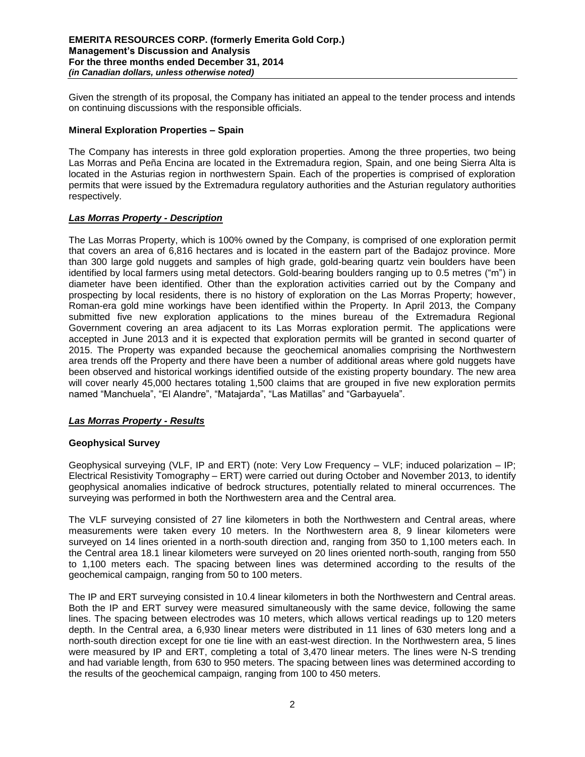Given the strength of its proposal, the Company has initiated an appeal to the tender process and intends on continuing discussions with the responsible officials.

# **Mineral Exploration Properties – Spain**

The Company has interests in three gold exploration properties. Among the three properties, two being Las Morras and Peña Encina are located in the Extremadura region, Spain, and one being Sierra Alta is located in the Asturias region in northwestern Spain. Each of the properties is comprised of exploration permits that were issued by the Extremadura regulatory authorities and the Asturian regulatory authorities respectively.

# *Las Morras Property - Description*

The Las Morras Property, which is 100% owned by the Company, is comprised of one exploration permit that covers an area of 6,816 hectares and is located in the eastern part of the Badajoz province. More than 300 large gold nuggets and samples of high grade, gold-bearing quartz vein boulders have been identified by local farmers using metal detectors. Gold-bearing boulders ranging up to 0.5 metres ("m") in diameter have been identified. Other than the exploration activities carried out by the Company and prospecting by local residents, there is no history of exploration on the Las Morras Property; however, Roman-era gold mine workings have been identified within the Property. In April 2013, the Company submitted five new exploration applications to the mines bureau of the Extremadura Regional Government covering an area adjacent to its Las Morras exploration permit. The applications were accepted in June 2013 and it is expected that exploration permits will be granted in second quarter of 2015. The Property was expanded because the geochemical anomalies comprising the Northwestern area trends off the Property and there have been a number of additional areas where gold nuggets have been observed and historical workings identified outside of the existing property boundary. The new area will cover nearly 45,000 hectares totaling 1,500 claims that are grouped in five new exploration permits named "Manchuela", "El Alandre", "Matajarda", "Las Matillas" and "Garbayuela".

# *Las Morras Property - Results*

# **Geophysical Survey**

Geophysical surveying (VLF, IP and ERT) (note: Very Low Frequency – VLF; induced polarization – IP; Electrical Resistivity Tomography – ERT) were carried out during October and November 2013, to identify geophysical anomalies indicative of bedrock structures, potentially related to mineral occurrences. The surveying was performed in both the Northwestern area and the Central area.

The VLF surveying consisted of 27 line kilometers in both the Northwestern and Central areas, where measurements were taken every 10 meters. In the Northwestern area 8, 9 linear kilometers were surveyed on 14 lines oriented in a north-south direction and, ranging from 350 to 1,100 meters each. In the Central area 18.1 linear kilometers were surveyed on 20 lines oriented north-south, ranging from 550 to 1,100 meters each. The spacing between lines was determined according to the results of the geochemical campaign, ranging from 50 to 100 meters.

The IP and ERT surveying consisted in 10.4 linear kilometers in both the Northwestern and Central areas. Both the IP and ERT survey were measured simultaneously with the same device, following the same lines. The spacing between electrodes was 10 meters, which allows vertical readings up to 120 meters depth. In the Central area, a 6,930 linear meters were distributed in 11 lines of 630 meters long and a north-south direction except for one tie line with an east-west direction. In the Northwestern area, 5 lines were measured by IP and ERT, completing a total of 3,470 linear meters. The lines were N-S trending and had variable length, from 630 to 950 meters. The spacing between lines was determined according to the results of the geochemical campaign, ranging from 100 to 450 meters.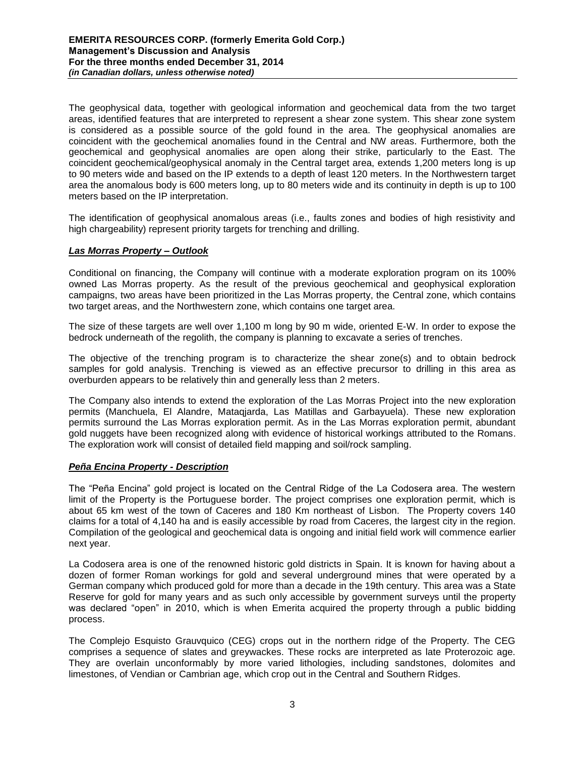The geophysical data, together with geological information and geochemical data from the two target areas, identified features that are interpreted to represent a shear zone system. This shear zone system is considered as a possible source of the gold found in the area. The geophysical anomalies are coincident with the geochemical anomalies found in the Central and NW areas. Furthermore, both the geochemical and geophysical anomalies are open along their strike, particularly to the East. The coincident geochemical/geophysical anomaly in the Central target area, extends 1,200 meters long is up to 90 meters wide and based on the IP extends to a depth of least 120 meters. In the Northwestern target area the anomalous body is 600 meters long, up to 80 meters wide and its continuity in depth is up to 100 meters based on the IP interpretation.

The identification of geophysical anomalous areas (i.e., faults zones and bodies of high resistivity and high chargeability) represent priority targets for trenching and drilling.

# *Las Morras Property – Outlook*

Conditional on financing, the Company will continue with a moderate exploration program on its 100% owned Las Morras property. As the result of the previous geochemical and geophysical exploration campaigns, two areas have been prioritized in the Las Morras property, the Central zone, which contains two target areas, and the Northwestern zone, which contains one target area.

The size of these targets are well over 1,100 m long by 90 m wide, oriented E-W. In order to expose the bedrock underneath of the regolith, the company is planning to excavate a series of trenches.

The objective of the trenching program is to characterize the shear zone(s) and to obtain bedrock samples for gold analysis. Trenching is viewed as an effective precursor to drilling in this area as overburden appears to be relatively thin and generally less than 2 meters.

The Company also intends to extend the exploration of the Las Morras Project into the new exploration permits (Manchuela, El Alandre, Mataqjarda, Las Matillas and Garbayuela). These new exploration permits surround the Las Morras exploration permit. As in the Las Morras exploration permit, abundant gold nuggets have been recognized along with evidence of historical workings attributed to the Romans. The exploration work will consist of detailed field mapping and soil/rock sampling.

# *Peña Encina Property - Description*

The "Peña Encina" gold project is located on the Central Ridge of the La Codosera area. The western limit of the Property is the Portuguese border. The project comprises one exploration permit, which is about 65 km west of the town of Caceres and 180 Km northeast of Lisbon. The Property covers 140 claims for a total of 4,140 ha and is easily accessible by road from Caceres, the largest city in the region. Compilation of the geological and geochemical data is ongoing and initial field work will commence earlier next year.

La Codosera area is one of the renowned historic gold districts in Spain. It is known for having about a dozen of former Roman workings for gold and several underground mines that were operated by a German company which produced gold for more than a decade in the 19th century. This area was a State Reserve for gold for many years and as such only accessible by government surveys until the property was declared "open" in 2010, which is when Emerita acquired the property through a public bidding process.

The Complejo Esquisto Grauvquico (CEG) crops out in the northern ridge of the Property. The CEG comprises a sequence of slates and greywackes. These rocks are interpreted as late Proterozoic age. They are overlain unconformably by more varied lithologies, including sandstones, dolomites and limestones, of Vendian or Cambrian age, which crop out in the Central and Southern Ridges.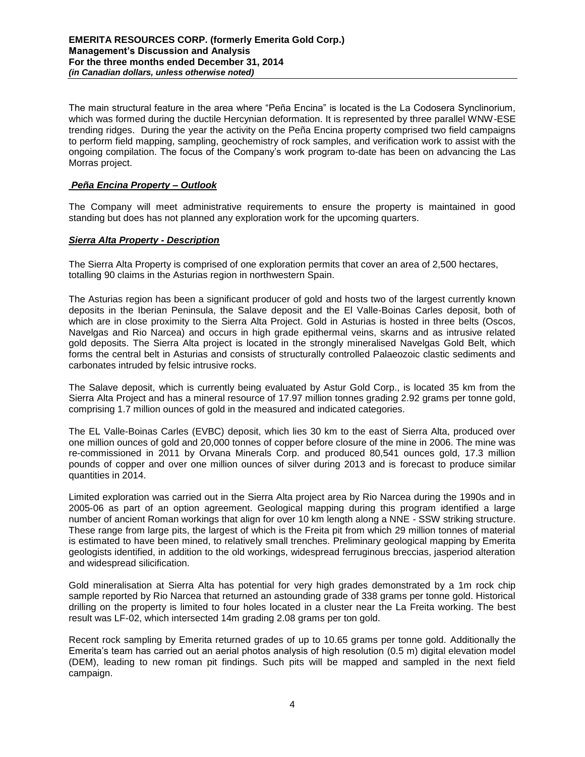The main structural feature in the area where "Peña Encina" is located is the La Codosera Synclinorium, which was formed during the ductile Hercynian deformation. It is represented by three parallel WNW-ESE trending ridges. During the year the activity on the Peña Encina property comprised two field campaigns to perform field mapping, sampling, geochemistry of rock samples, and verification work to assist with the ongoing compilation. The focus of the Company's work program to-date has been on advancing the Las Morras project.

# *Peña Encina Property – Outlook*

The Company will meet administrative requirements to ensure the property is maintained in good standing but does has not planned any exploration work for the upcoming quarters.

# *Sierra Alta Property - Description*

The Sierra Alta Property is comprised of one exploration permits that cover an area of 2,500 hectares, totalling 90 claims in the Asturias region in northwestern Spain.

The Asturias region has been a significant producer of gold and hosts two of the largest currently known deposits in the Iberian Peninsula, the Salave deposit and the El Valle-Boinas Carles deposit, both of which are in close proximity to the Sierra Alta Project. Gold in Asturias is hosted in three belts (Oscos, Navelgas and Rio Narcea) and occurs in high grade epithermal veins, skarns and as intrusive related gold deposits. The Sierra Alta project is located in the strongly mineralised Navelgas Gold Belt, which forms the central belt in Asturias and consists of structurally controlled Palaeozoic clastic sediments and carbonates intruded by felsic intrusive rocks.

The Salave deposit, which is currently being evaluated by Astur Gold Corp., is located 35 km from the Sierra Alta Project and has a mineral resource of 17.97 million tonnes grading 2.92 grams per tonne gold, comprising 1.7 million ounces of gold in the measured and indicated categories.

The EL Valle-Boinas Carles (EVBC) deposit, which lies 30 km to the east of Sierra Alta, produced over one million ounces of gold and 20,000 tonnes of copper before closure of the mine in 2006. The mine was re-commissioned in 2011 by Orvana Minerals Corp. and produced 80,541 ounces gold, 17.3 million pounds of copper and over one million ounces of silver during 2013 and is forecast to produce similar quantities in 2014.

Limited exploration was carried out in the Sierra Alta project area by Rio Narcea during the 1990s and in 2005-06 as part of an option agreement. Geological mapping during this program identified a large number of ancient Roman workings that align for over 10 km length along a NNE - SSW striking structure. These range from large pits, the largest of which is the Freita pit from which 29 million tonnes of material is estimated to have been mined, to relatively small trenches. Preliminary geological mapping by Emerita geologists identified, in addition to the old workings, widespread ferruginous breccias, jasperiod alteration and widespread silicification.

Gold mineralisation at Sierra Alta has potential for very high grades demonstrated by a 1m rock chip sample reported by Rio Narcea that returned an astounding grade of 338 grams per tonne gold. Historical drilling on the property is limited to four holes located in a cluster near the La Freita working. The best result was LF-02, which intersected 14m grading 2.08 grams per ton gold.

Recent rock sampling by Emerita returned grades of up to 10.65 grams per tonne gold. Additionally the Emerita's team has carried out an aerial photos analysis of high resolution (0.5 m) digital elevation model (DEM), leading to new roman pit findings. Such pits will be mapped and sampled in the next field campaign.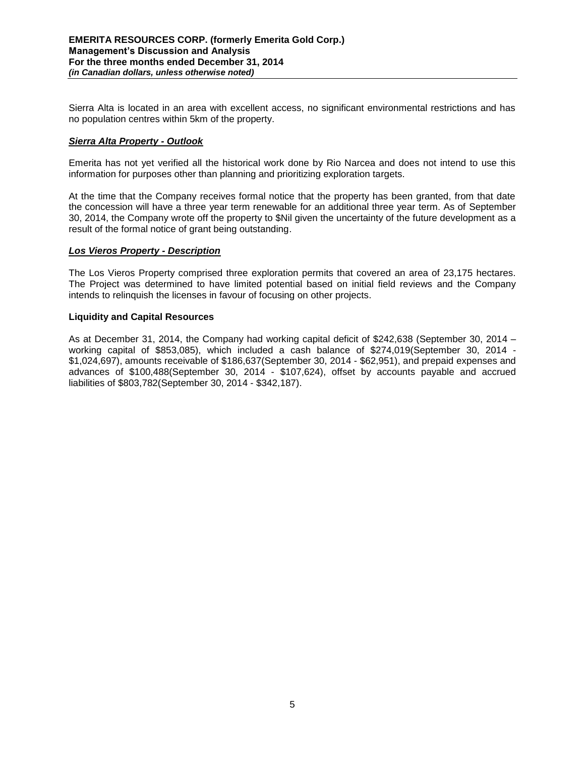Sierra Alta is located in an area with excellent access, no significant environmental restrictions and has no population centres within 5km of the property.

# *Sierra Alta Property - Outlook*

Emerita has not yet verified all the historical work done by Rio Narcea and does not intend to use this information for purposes other than planning and prioritizing exploration targets.

At the time that the Company receives formal notice that the property has been granted, from that date the concession will have a three year term renewable for an additional three year term. As of September 30, 2014, the Company wrote off the property to \$Nil given the uncertainty of the future development as a result of the formal notice of grant being outstanding.

#### *Los Vieros Property - Description*

The Los Vieros Property comprised three exploration permits that covered an area of 23,175 hectares. The Project was determined to have limited potential based on initial field reviews and the Company intends to relinquish the licenses in favour of focusing on other projects.

#### **Liquidity and Capital Resources**

As at December 31, 2014, the Company had working capital deficit of \$242,638 (September 30, 2014 – working capital of \$853,085), which included a cash balance of \$274,019(September 30, 2014 - \$1,024,697), amounts receivable of \$186,637(September 30, 2014 - \$62,951), and prepaid expenses and advances of \$100,488(September 30, 2014 - \$107,624), offset by accounts payable and accrued liabilities of \$803,782(September 30, 2014 - \$342,187).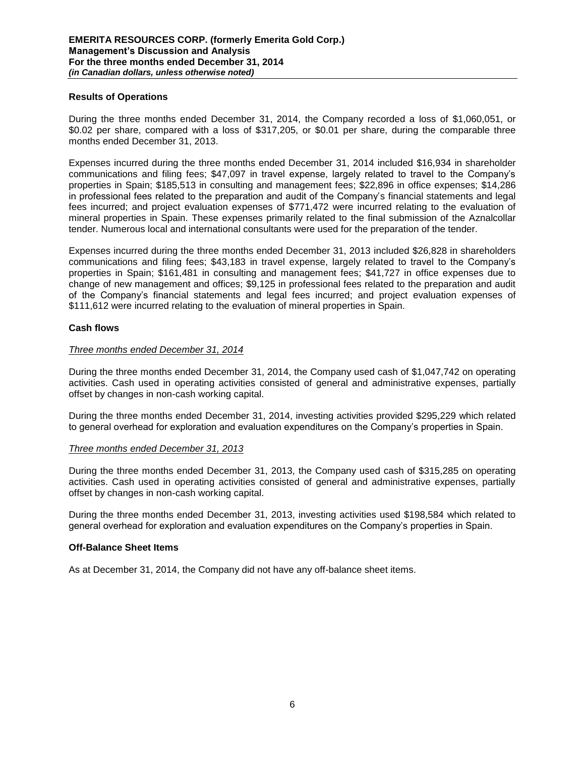#### **Results of Operations**

During the three months ended December 31, 2014, the Company recorded a loss of \$1,060,051, or \$0.02 per share, compared with a loss of \$317,205, or \$0.01 per share, during the comparable three months ended December 31, 2013.

Expenses incurred during the three months ended December 31, 2014 included \$16,934 in shareholder communications and filing fees; \$47,097 in travel expense, largely related to travel to the Company's properties in Spain; \$185,513 in consulting and management fees; \$22,896 in office expenses; \$14,286 in professional fees related to the preparation and audit of the Company's financial statements and legal fees incurred; and project evaluation expenses of \$771,472 were incurred relating to the evaluation of mineral properties in Spain. These expenses primarily related to the final submission of the Aznalcollar tender. Numerous local and international consultants were used for the preparation of the tender.

Expenses incurred during the three months ended December 31, 2013 included \$26,828 in shareholders communications and filing fees; \$43,183 in travel expense, largely related to travel to the Company's properties in Spain; \$161,481 in consulting and management fees; \$41,727 in office expenses due to change of new management and offices; \$9,125 in professional fees related to the preparation and audit of the Company's financial statements and legal fees incurred; and project evaluation expenses of \$111,612 were incurred relating to the evaluation of mineral properties in Spain.

# **Cash flows**

#### *Three months ended December 31, 2014*

During the three months ended December 31, 2014, the Company used cash of \$1,047,742 on operating activities. Cash used in operating activities consisted of general and administrative expenses, partially offset by changes in non-cash working capital.

During the three months ended December 31, 2014, investing activities provided \$295,229 which related to general overhead for exploration and evaluation expenditures on the Company's properties in Spain.

#### *Three months ended December 31, 2013*

During the three months ended December 31, 2013, the Company used cash of \$315,285 on operating activities. Cash used in operating activities consisted of general and administrative expenses, partially offset by changes in non-cash working capital.

During the three months ended December 31, 2013, investing activities used \$198,584 which related to general overhead for exploration and evaluation expenditures on the Company's properties in Spain.

#### **Off-Balance Sheet Items**

As at December 31, 2014, the Company did not have any off-balance sheet items.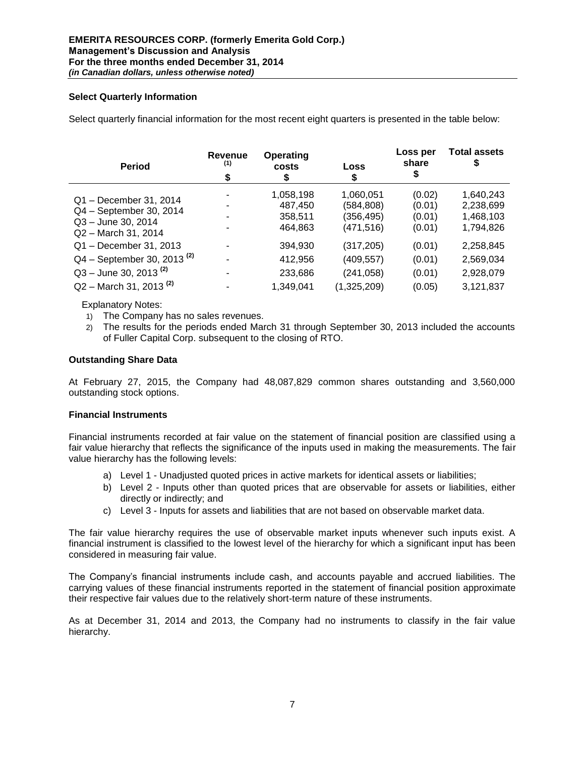# **Select Quarterly Information**

Select quarterly financial information for the most recent eight quarters is presented in the table below:

| <b>Period</b>                        | Revenue<br>(1)<br>\$ | Operating<br>costs<br>\$ | Loss<br>\$  | Loss per<br>share<br>\$ | <b>Total assets</b><br>J |
|--------------------------------------|----------------------|--------------------------|-------------|-------------------------|--------------------------|
| Q1 - December 31, 2014               |                      | 1,058,198                | 1,060,051   | (0.02)                  | 1,640,243                |
| Q4 - September 30, 2014              |                      | 487,450                  | (584,808)   | (0.01)                  | 2,238,699                |
| Q3 - June 30, 2014                   |                      | 358,511                  | (356,495)   | (0.01)                  | 1,468,103                |
| Q2 - March 31, 2014                  |                      | 464,863                  | (471,516)   | (0.01)                  | 1,794,826                |
| Q1 - December 31, 2013               |                      | 394,930                  | (317, 205)  | (0.01)                  | 2,258,845                |
| $Q4 - September 30, 2013^{(2)}$      |                      | 412,956                  | (409, 557)  | (0.01)                  | 2,569,034                |
| $Q3 -$ June 30, 2013 <sup>(2)</sup>  |                      | 233,686                  | (241, 058)  | (0.01)                  | 2,928,079                |
| $Q2 -$ March 31, 2013 <sup>(2)</sup> |                      | 1,349,041                | (1,325,209) | (0.05)                  | 3,121,837                |

Explanatory Notes:

- 1) The Company has no sales revenues.
- 2) The results for the periods ended March 31 through September 30, 2013 included the accounts of Fuller Capital Corp. subsequent to the closing of RTO.

#### **Outstanding Share Data**

At February 27, 2015, the Company had 48,087,829 common shares outstanding and 3,560,000 outstanding stock options.

# **Financial Instruments**

Financial instruments recorded at fair value on the statement of financial position are classified using a fair value hierarchy that reflects the significance of the inputs used in making the measurements. The fair value hierarchy has the following levels:

- a) Level 1 Unadjusted quoted prices in active markets for identical assets or liabilities;
- b) Level 2 Inputs other than quoted prices that are observable for assets or liabilities, either directly or indirectly; and
- c) Level 3 Inputs for assets and liabilities that are not based on observable market data.

The fair value hierarchy requires the use of observable market inputs whenever such inputs exist. A financial instrument is classified to the lowest level of the hierarchy for which a significant input has been considered in measuring fair value.

The Company's financial instruments include cash, and accounts payable and accrued liabilities. The carrying values of these financial instruments reported in the statement of financial position approximate their respective fair values due to the relatively short-term nature of these instruments.

As at December 31, 2014 and 2013, the Company had no instruments to classify in the fair value hierarchy.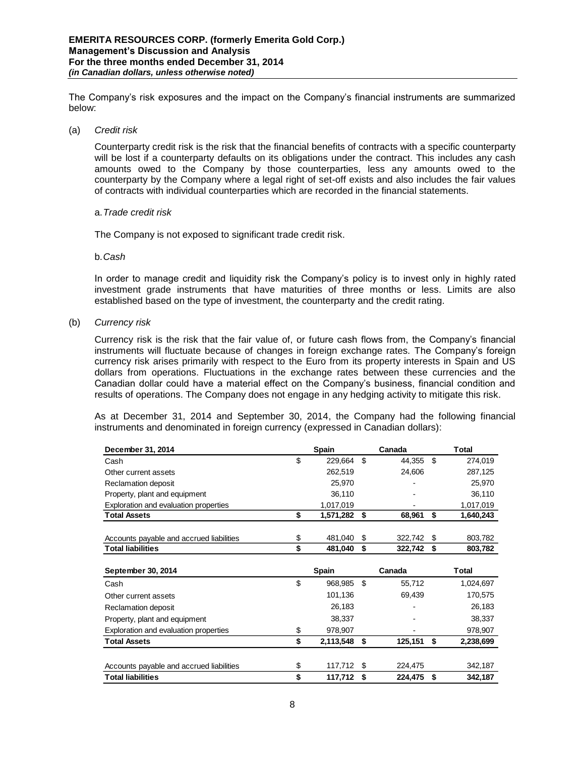The Company's risk exposures and the impact on the Company's financial instruments are summarized below:

(a) *Credit risk* 

Counterparty credit risk is the risk that the financial benefits of contracts with a specific counterparty will be lost if a counterparty defaults on its obligations under the contract. This includes any cash amounts owed to the Company by those counterparties, less any amounts owed to the counterparty by the Company where a legal right of set-off exists and also includes the fair values of contracts with individual counterparties which are recorded in the financial statements.

#### a.*Trade credit risk*

The Company is not exposed to significant trade credit risk.

#### b.*Cash*

In order to manage credit and liquidity risk the Company's policy is to invest only in highly rated investment grade instruments that have maturities of three months or less. Limits are also established based on the type of investment, the counterparty and the credit rating.

(b) *Currency risk* 

Currency risk is the risk that the fair value of, or future cash flows from, the Company's financial instruments will fluctuate because of changes in foreign exchange rates. The Company's foreign currency risk arises primarily with respect to the Euro from its property interests in Spain and US dollars from operations. Fluctuations in the exchange rates between these currencies and the Canadian dollar could have a material effect on the Company's business, financial condition and results of operations. The Company does not engage in any hedging activity to mitigate this risk.

As at December 31, 2014 and September 30, 2014, the Company had the following financial instruments and denominated in foreign currency (expressed in Canadian dollars):

| December 31, 2014                              | <b>Spain</b> | Canada        | <b>Total</b>    |
|------------------------------------------------|--------------|---------------|-----------------|
| \$<br>Cash                                     | 229,664      | \$<br>44,355  | \$<br>274,019   |
| Other current assets                           | 262,519      | 24,606        | 287,125         |
| Reclamation deposit                            | 25,970       |               | 25,970          |
| Property, plant and equipment                  | 36,110       |               | 36,110          |
| Exploration and evaluation properties          | 1,017,019    |               | 1,017,019       |
| \$<br><b>Total Assets</b>                      | 1,571,282    | \$<br>68,961  | \$<br>1,640,243 |
|                                                |              |               |                 |
| \$<br>Accounts payable and accrued liabilities | 481,040      | \$<br>322,742 | \$<br>803,782   |
| \$<br><b>Total liabilities</b>                 | 481,040      | \$<br>322,742 | \$<br>803,782   |
|                                                |              |               |                 |
|                                                |              |               |                 |
| September 30, 2014                             | <b>Spain</b> | Canada        | <b>Total</b>    |
| \$<br>Cash                                     | 968,985      | \$<br>55,712  | 1,024,697       |
| Other current assets                           | 101,136      | 69,439        | 170,575         |
| Reclamation deposit                            | 26,183       |               | 26,183          |
| Property, plant and equipment                  | 38,337       |               | 38,337          |
| \$<br>Exploration and evaluation properties    | 978,907      |               | 978,907         |
| \$<br><b>Total Assets</b>                      | 2,113,548    | \$<br>125,151 | \$<br>2,238,699 |
|                                                |              |               |                 |
| \$<br>Accounts payable and accrued liabilities | 117,712      | \$<br>224,475 | 342,187         |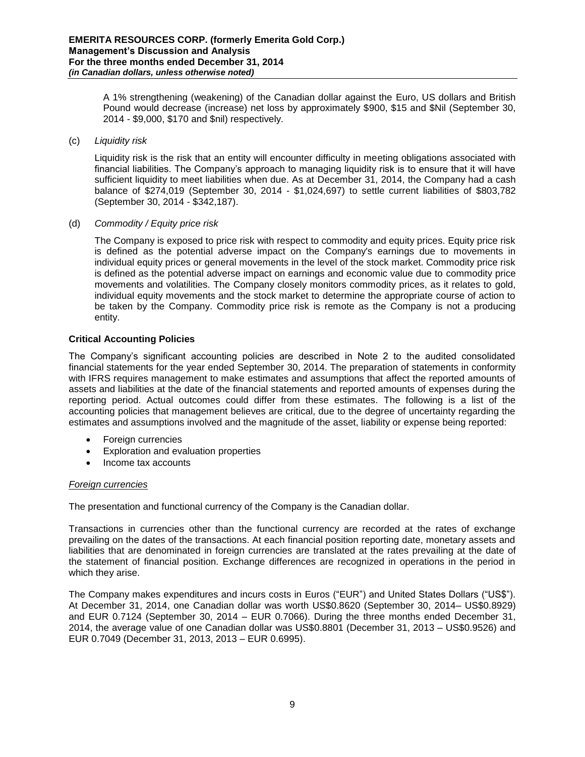A 1% strengthening (weakening) of the Canadian dollar against the Euro, US dollars and British Pound would decrease (increase) net loss by approximately \$900, \$15 and \$Nil (September 30, 2014 - \$9,000, \$170 and \$nil) respectively.

(c) *Liquidity risk* 

Liquidity risk is the risk that an entity will encounter difficulty in meeting obligations associated with financial liabilities. The Company's approach to managing liquidity risk is to ensure that it will have sufficient liquidity to meet liabilities when due. As at December 31, 2014, the Company had a cash balance of \$274,019 (September 30, 2014 - \$1,024,697) to settle current liabilities of \$803,782 (September 30, 2014 - \$342,187).

(d) *Commodity / Equity price risk*

The Company is exposed to price risk with respect to commodity and equity prices. Equity price risk is defined as the potential adverse impact on the Company's earnings due to movements in individual equity prices or general movements in the level of the stock market. Commodity price risk is defined as the potential adverse impact on earnings and economic value due to commodity price movements and volatilities. The Company closely monitors commodity prices, as it relates to gold, individual equity movements and the stock market to determine the appropriate course of action to be taken by the Company. Commodity price risk is remote as the Company is not a producing entity.

# **Critical Accounting Policies**

The Company's significant accounting policies are described in Note 2 to the audited consolidated financial statements for the year ended September 30, 2014. The preparation of statements in conformity with IFRS requires management to make estimates and assumptions that affect the reported amounts of assets and liabilities at the date of the financial statements and reported amounts of expenses during the reporting period. Actual outcomes could differ from these estimates. The following is a list of the accounting policies that management believes are critical, due to the degree of uncertainty regarding the estimates and assumptions involved and the magnitude of the asset, liability or expense being reported:

- Foreign currencies
- Exploration and evaluation properties
- Income tax accounts

# *Foreign currencies*

The presentation and functional currency of the Company is the Canadian dollar.

Transactions in currencies other than the functional currency are recorded at the rates of exchange prevailing on the dates of the transactions. At each financial position reporting date, monetary assets and liabilities that are denominated in foreign currencies are translated at the rates prevailing at the date of the statement of financial position. Exchange differences are recognized in operations in the period in which they arise.

The Company makes expenditures and incurs costs in Euros ("EUR") and United States Dollars ("US\$"). At December 31, 2014, one Canadian dollar was worth US\$0.8620 (September 30, 2014– US\$0.8929) and EUR 0.7124 (September 30, 2014 – EUR 0.7066). During the three months ended December 31, 2014, the average value of one Canadian dollar was US\$0.8801 (December 31, 2013 – US\$0.9526) and EUR 0.7049 (December 31, 2013, 2013 – EUR 0.6995).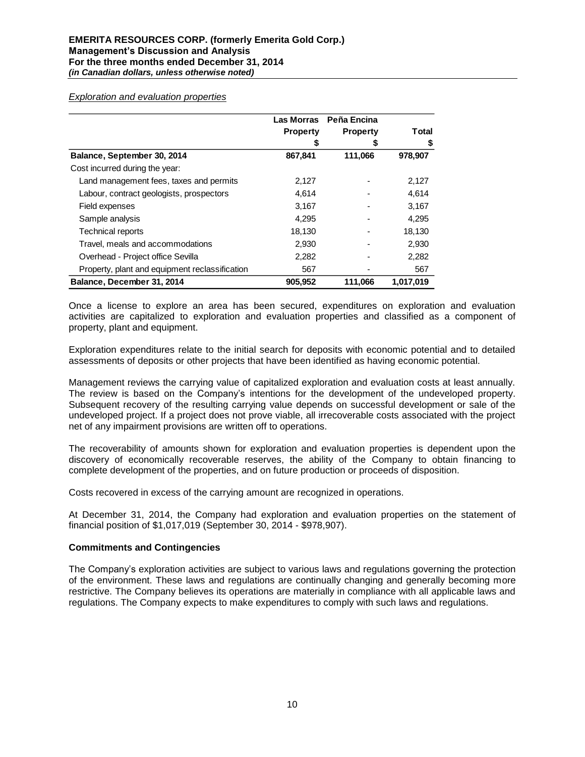*Exploration and evaluation properties*

|                                                | <b>Las Morras</b> | Peña Encina     |           |  |
|------------------------------------------------|-------------------|-----------------|-----------|--|
|                                                | <b>Property</b>   | <b>Property</b> | Total     |  |
|                                                |                   | æ               |           |  |
| Balance, September 30, 2014                    | 867,841           | 111,066         | 978,907   |  |
| Cost incurred during the year:                 |                   |                 |           |  |
| Land management fees, taxes and permits        | 2,127             |                 | 2,127     |  |
| Labour, contract geologists, prospectors       | 4.614             |                 | 4,614     |  |
| Field expenses                                 | 3,167             |                 | 3,167     |  |
| Sample analysis                                | 4,295             |                 | 4,295     |  |
| <b>Technical reports</b>                       | 18,130            |                 | 18,130    |  |
| Travel, meals and accommodations               | 2,930             |                 | 2,930     |  |
| Overhead - Project office Sevilla              | 2,282             |                 | 2,282     |  |
| Property, plant and equipment reclassification | 567               |                 | 567       |  |
| Balance, December 31, 2014                     | 905.952           | 111.066         | 1,017,019 |  |

Once a license to explore an area has been secured, expenditures on exploration and evaluation activities are capitalized to exploration and evaluation properties and classified as a component of property, plant and equipment.

Exploration expenditures relate to the initial search for deposits with economic potential and to detailed assessments of deposits or other projects that have been identified as having economic potential.

Management reviews the carrying value of capitalized exploration and evaluation costs at least annually. The review is based on the Company's intentions for the development of the undeveloped property. Subsequent recovery of the resulting carrying value depends on successful development or sale of the undeveloped project. If a project does not prove viable, all irrecoverable costs associated with the project net of any impairment provisions are written off to operations.

The recoverability of amounts shown for exploration and evaluation properties is dependent upon the discovery of economically recoverable reserves, the ability of the Company to obtain financing to complete development of the properties, and on future production or proceeds of disposition.

Costs recovered in excess of the carrying amount are recognized in operations.

At December 31, 2014, the Company had exploration and evaluation properties on the statement of financial position of \$1,017,019 (September 30, 2014 - \$978,907).

#### **Commitments and Contingencies**

The Company's exploration activities are subject to various laws and regulations governing the protection of the environment. These laws and regulations are continually changing and generally becoming more restrictive. The Company believes its operations are materially in compliance with all applicable laws and regulations. The Company expects to make expenditures to comply with such laws and regulations.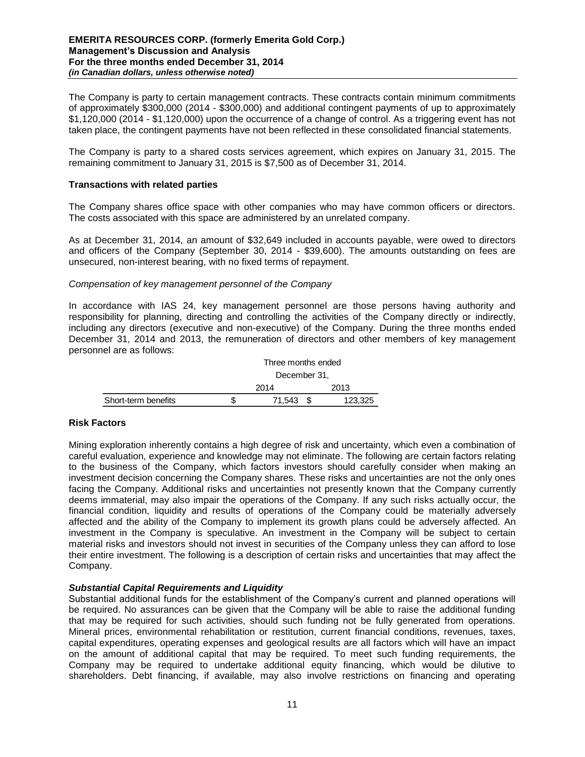### **EMERITA RESOURCES CORP. (formerly Emerita Gold Corp.) Management's Discussion and Analysis For the three months ended December 31, 2014** *(in Canadian dollars, unless otherwise noted)*

The Company is party to certain management contracts. These contracts contain minimum commitments of approximately \$300,000 (2014 - \$300,000) and additional contingent payments of up to approximately \$1,120,000 (2014 - \$1,120,000) upon the occurrence of a change of control. As a triggering event has not taken place, the contingent payments have not been reflected in these consolidated financial statements.

The Company is party to a shared costs services agreement, which expires on January 31, 2015. The remaining commitment to January 31, 2015 is \$7,500 as of December 31, 2014.

### **Transactions with related parties**

The Company shares office space with other companies who may have common officers or directors. The costs associated with this space are administered by an unrelated company.

As at December 31, 2014, an amount of \$32,649 included in accounts payable, were owed to directors and officers of the Company (September 30, 2014 - \$39,600). The amounts outstanding on fees are unsecured, non-interest bearing, with no fixed terms of repayment.

#### *Compensation of key management personnel of the Company*

In accordance with IAS 24, key management personnel are those persons having authority and responsibility for planning, directing and controlling the activities of the Company directly or indirectly, including any directors (executive and non-executive) of the Company. During the three months ended December 31, 2014 and 2013, the remuneration of directors and other members of key management personnel are as follows:

|                     | Three months ended |  |         |  |  |
|---------------------|--------------------|--|---------|--|--|
|                     | December 31,       |  |         |  |  |
|                     | 2014               |  | 2013    |  |  |
| Short-term benefits | 71.543             |  | 123.325 |  |  |

# **Risk Factors**

Mining exploration inherently contains a high degree of risk and uncertainty, which even a combination of careful evaluation, experience and knowledge may not eliminate. The following are certain factors relating to the business of the Company, which factors investors should carefully consider when making an investment decision concerning the Company shares. These risks and uncertainties are not the only ones facing the Company. Additional risks and uncertainties not presently known that the Company currently deems immaterial, may also impair the operations of the Company. If any such risks actually occur, the financial condition, liquidity and results of operations of the Company could be materially adversely affected and the ability of the Company to implement its growth plans could be adversely affected. An investment in the Company is speculative. An investment in the Company will be subject to certain material risks and investors should not invest in securities of the Company unless they can afford to lose their entire investment. The following is a description of certain risks and uncertainties that may affect the Company.

# *Substantial Capital Requirements and Liquidity*

Substantial additional funds for the establishment of the Company's current and planned operations will be required. No assurances can be given that the Company will be able to raise the additional funding that may be required for such activities, should such funding not be fully generated from operations. Mineral prices, environmental rehabilitation or restitution, current financial conditions, revenues, taxes, capital expenditures, operating expenses and geological results are all factors which will have an impact on the amount of additional capital that may be required. To meet such funding requirements, the Company may be required to undertake additional equity financing, which would be dilutive to shareholders. Debt financing, if available, may also involve restrictions on financing and operating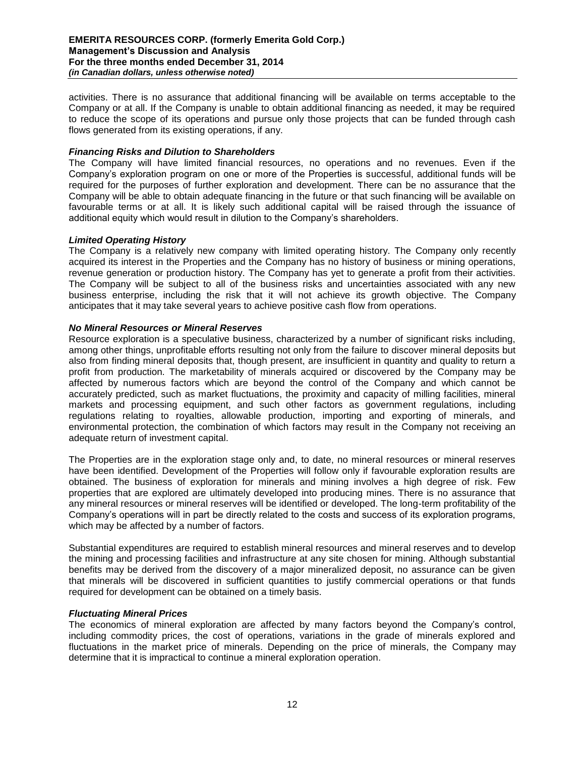activities. There is no assurance that additional financing will be available on terms acceptable to the Company or at all. If the Company is unable to obtain additional financing as needed, it may be required to reduce the scope of its operations and pursue only those projects that can be funded through cash flows generated from its existing operations, if any.

# *Financing Risks and Dilution to Shareholders*

The Company will have limited financial resources, no operations and no revenues. Even if the Company's exploration program on one or more of the Properties is successful, additional funds will be required for the purposes of further exploration and development. There can be no assurance that the Company will be able to obtain adequate financing in the future or that such financing will be available on favourable terms or at all. It is likely such additional capital will be raised through the issuance of additional equity which would result in dilution to the Company's shareholders.

# *Limited Operating History*

The Company is a relatively new company with limited operating history. The Company only recently acquired its interest in the Properties and the Company has no history of business or mining operations, revenue generation or production history. The Company has yet to generate a profit from their activities. The Company will be subject to all of the business risks and uncertainties associated with any new business enterprise, including the risk that it will not achieve its growth objective. The Company anticipates that it may take several years to achieve positive cash flow from operations.

# *No Mineral Resources or Mineral Reserves*

Resource exploration is a speculative business, characterized by a number of significant risks including, among other things, unprofitable efforts resulting not only from the failure to discover mineral deposits but also from finding mineral deposits that, though present, are insufficient in quantity and quality to return a profit from production. The marketability of minerals acquired or discovered by the Company may be affected by numerous factors which are beyond the control of the Company and which cannot be accurately predicted, such as market fluctuations, the proximity and capacity of milling facilities, mineral markets and processing equipment, and such other factors as government regulations, including regulations relating to royalties, allowable production, importing and exporting of minerals, and environmental protection, the combination of which factors may result in the Company not receiving an adequate return of investment capital.

The Properties are in the exploration stage only and, to date, no mineral resources or mineral reserves have been identified. Development of the Properties will follow only if favourable exploration results are obtained. The business of exploration for minerals and mining involves a high degree of risk. Few properties that are explored are ultimately developed into producing mines. There is no assurance that any mineral resources or mineral reserves will be identified or developed. The long-term profitability of the Company's operations will in part be directly related to the costs and success of its exploration programs, which may be affected by a number of factors.

Substantial expenditures are required to establish mineral resources and mineral reserves and to develop the mining and processing facilities and infrastructure at any site chosen for mining. Although substantial benefits may be derived from the discovery of a major mineralized deposit, no assurance can be given that minerals will be discovered in sufficient quantities to justify commercial operations or that funds required for development can be obtained on a timely basis.

# *Fluctuating Mineral Prices*

The economics of mineral exploration are affected by many factors beyond the Company's control, including commodity prices, the cost of operations, variations in the grade of minerals explored and fluctuations in the market price of minerals. Depending on the price of minerals, the Company may determine that it is impractical to continue a mineral exploration operation.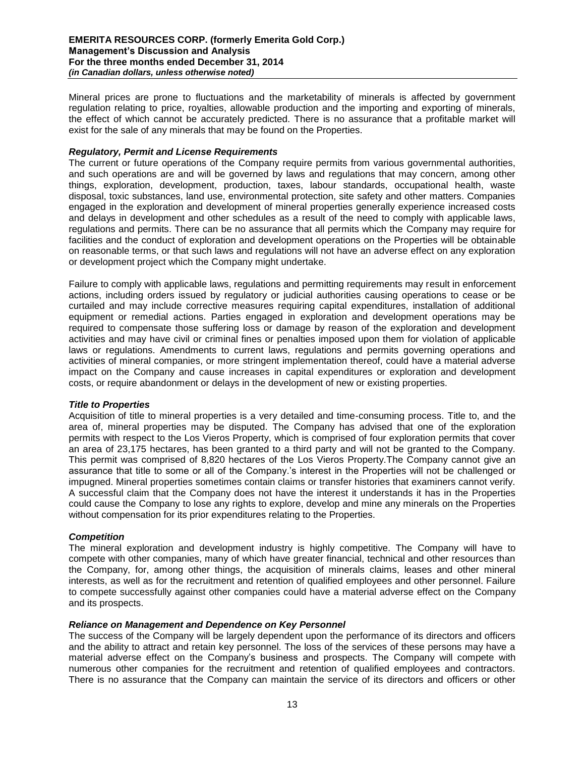Mineral prices are prone to fluctuations and the marketability of minerals is affected by government regulation relating to price, royalties, allowable production and the importing and exporting of minerals, the effect of which cannot be accurately predicted. There is no assurance that a profitable market will exist for the sale of any minerals that may be found on the Properties.

# *Regulatory, Permit and License Requirements*

The current or future operations of the Company require permits from various governmental authorities, and such operations are and will be governed by laws and regulations that may concern, among other things, exploration, development, production, taxes, labour standards, occupational health, waste disposal, toxic substances, land use, environmental protection, site safety and other matters. Companies engaged in the exploration and development of mineral properties generally experience increased costs and delays in development and other schedules as a result of the need to comply with applicable laws, regulations and permits. There can be no assurance that all permits which the Company may require for facilities and the conduct of exploration and development operations on the Properties will be obtainable on reasonable terms, or that such laws and regulations will not have an adverse effect on any exploration or development project which the Company might undertake.

Failure to comply with applicable laws, regulations and permitting requirements may result in enforcement actions, including orders issued by regulatory or judicial authorities causing operations to cease or be curtailed and may include corrective measures requiring capital expenditures, installation of additional equipment or remedial actions. Parties engaged in exploration and development operations may be required to compensate those suffering loss or damage by reason of the exploration and development activities and may have civil or criminal fines or penalties imposed upon them for violation of applicable laws or regulations. Amendments to current laws, regulations and permits governing operations and activities of mineral companies, or more stringent implementation thereof, could have a material adverse impact on the Company and cause increases in capital expenditures or exploration and development costs, or require abandonment or delays in the development of new or existing properties.

#### *Title to Properties*

Acquisition of title to mineral properties is a very detailed and time-consuming process. Title to, and the area of, mineral properties may be disputed. The Company has advised that one of the exploration permits with respect to the Los Vieros Property, which is comprised of four exploration permits that cover an area of 23,175 hectares, has been granted to a third party and will not be granted to the Company. This permit was comprised of 8,820 hectares of the Los Vieros Property.The Company cannot give an assurance that title to some or all of the Company.'s interest in the Properties will not be challenged or impugned. Mineral properties sometimes contain claims or transfer histories that examiners cannot verify. A successful claim that the Company does not have the interest it understands it has in the Properties could cause the Company to lose any rights to explore, develop and mine any minerals on the Properties without compensation for its prior expenditures relating to the Properties.

# *Competition*

The mineral exploration and development industry is highly competitive. The Company will have to compete with other companies, many of which have greater financial, technical and other resources than the Company, for, among other things, the acquisition of minerals claims, leases and other mineral interests, as well as for the recruitment and retention of qualified employees and other personnel. Failure to compete successfully against other companies could have a material adverse effect on the Company and its prospects.

#### *Reliance on Management and Dependence on Key Personnel*

The success of the Company will be largely dependent upon the performance of its directors and officers and the ability to attract and retain key personnel. The loss of the services of these persons may have a material adverse effect on the Company's business and prospects. The Company will compete with numerous other companies for the recruitment and retention of qualified employees and contractors. There is no assurance that the Company can maintain the service of its directors and officers or other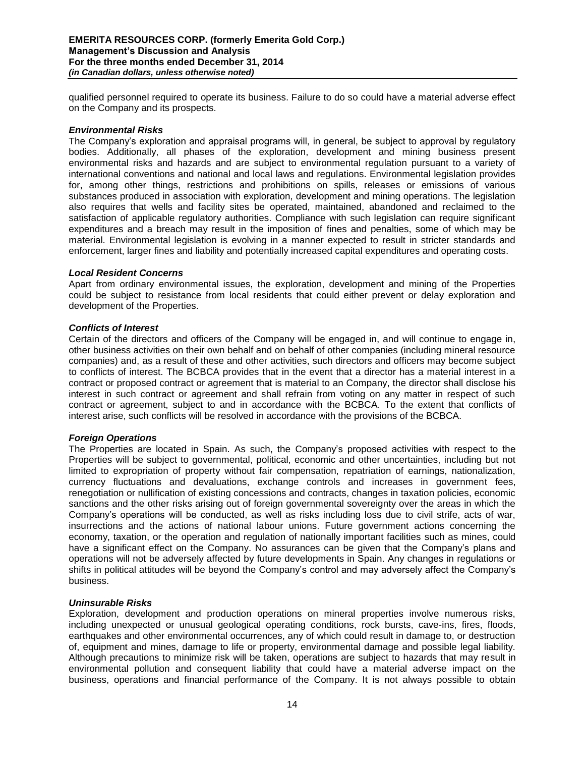qualified personnel required to operate its business. Failure to do so could have a material adverse effect on the Company and its prospects.

#### *Environmental Risks*

The Company's exploration and appraisal programs will, in general, be subject to approval by regulatory bodies. Additionally, all phases of the exploration, development and mining business present environmental risks and hazards and are subject to environmental regulation pursuant to a variety of international conventions and national and local laws and regulations. Environmental legislation provides for, among other things, restrictions and prohibitions on spills, releases or emissions of various substances produced in association with exploration, development and mining operations. The legislation also requires that wells and facility sites be operated, maintained, abandoned and reclaimed to the satisfaction of applicable regulatory authorities. Compliance with such legislation can require significant expenditures and a breach may result in the imposition of fines and penalties, some of which may be material. Environmental legislation is evolving in a manner expected to result in stricter standards and enforcement, larger fines and liability and potentially increased capital expenditures and operating costs.

#### *Local Resident Concerns*

Apart from ordinary environmental issues, the exploration, development and mining of the Properties could be subject to resistance from local residents that could either prevent or delay exploration and development of the Properties.

#### *Conflicts of Interest*

Certain of the directors and officers of the Company will be engaged in, and will continue to engage in, other business activities on their own behalf and on behalf of other companies (including mineral resource companies) and, as a result of these and other activities, such directors and officers may become subject to conflicts of interest. The BCBCA provides that in the event that a director has a material interest in a contract or proposed contract or agreement that is material to an Company, the director shall disclose his interest in such contract or agreement and shall refrain from voting on any matter in respect of such contract or agreement, subject to and in accordance with the BCBCA. To the extent that conflicts of interest arise, such conflicts will be resolved in accordance with the provisions of the BCBCA.

#### *Foreign Operations*

The Properties are located in Spain. As such, the Company's proposed activities with respect to the Properties will be subject to governmental, political, economic and other uncertainties, including but not limited to expropriation of property without fair compensation, repatriation of earnings, nationalization, currency fluctuations and devaluations, exchange controls and increases in government fees, renegotiation or nullification of existing concessions and contracts, changes in taxation policies, economic sanctions and the other risks arising out of foreign governmental sovereignty over the areas in which the Company's operations will be conducted, as well as risks including loss due to civil strife, acts of war, insurrections and the actions of national labour unions. Future government actions concerning the economy, taxation, or the operation and regulation of nationally important facilities such as mines, could have a significant effect on the Company. No assurances can be given that the Company's plans and operations will not be adversely affected by future developments in Spain. Any changes in regulations or shifts in political attitudes will be beyond the Company's control and may adversely affect the Company's business.

#### *Uninsurable Risks*

Exploration, development and production operations on mineral properties involve numerous risks, including unexpected or unusual geological operating conditions, rock bursts, cave-ins, fires, floods, earthquakes and other environmental occurrences, any of which could result in damage to, or destruction of, equipment and mines, damage to life or property, environmental damage and possible legal liability. Although precautions to minimize risk will be taken, operations are subject to hazards that may result in environmental pollution and consequent liability that could have a material adverse impact on the business, operations and financial performance of the Company. It is not always possible to obtain